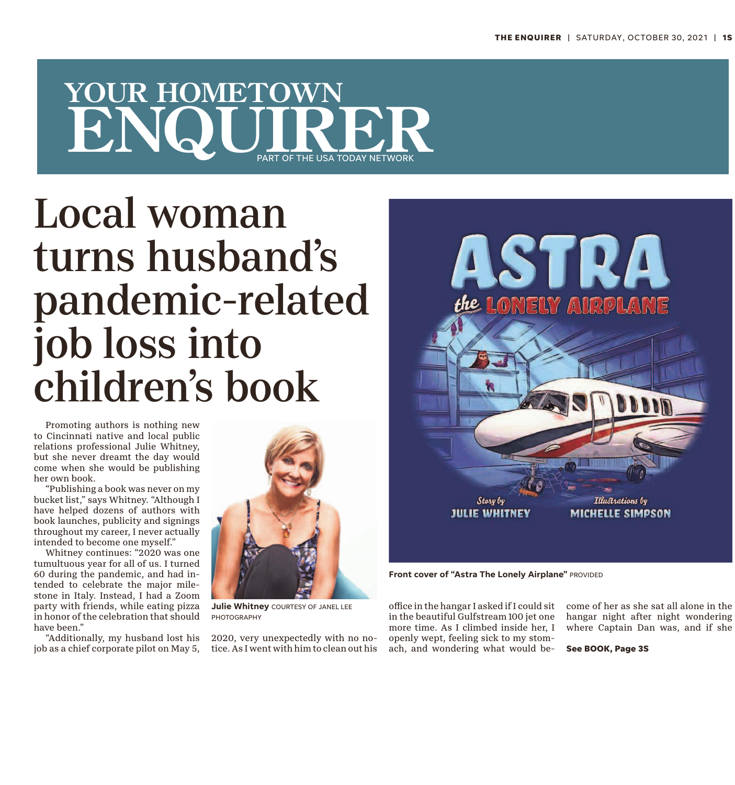## YOUR HOMETOWN<br>ENQUIRER **YOUR HOMETOWN** PART OF THE USA TODAY NETWORK

## Local woman turns husband's pandemic-related job loss into children's book

Promoting authors is nothing new to Cincinnati native and local public relations professional Julie Whitney, but she never dreamt the day would come when she would be publishing her own book.

"Publishing a book was never on my bucket list," says Whitney. "Although I have helped dozens of authors with book launches, publicity and signings throughout my career, I never actually intended to become one myself."

Whitney continues: "2020 was one tumultuous year for all of us. I turned 60 during the pandemic, and had intended to celebrate the major milestone in Italy. Instead, I had a Zoom party with friends, while eating pizza in honor of the celebration that should have been."

"Additionally, my husband lost his job as a chief corporate pilot on May 5,



**Julie Whitney** COURTESY OF JANEL LEE PHOTOGRAPHY

2020, very unexpectedly with no notice. As I went with him to clean out his



**Front cover of "Astra The Lonely Airplane"** PROVIDED

office in the hangar I asked if I could sit in the beautiful Gulfstream 100 jet one more time. As I climbed inside her, I openly wept, feeling sick to my stomach, and wondering what would become of her as she sat all alone in the hangar night after night wondering where Captain Dan was, and if she

**See BOOK, Page 3S**